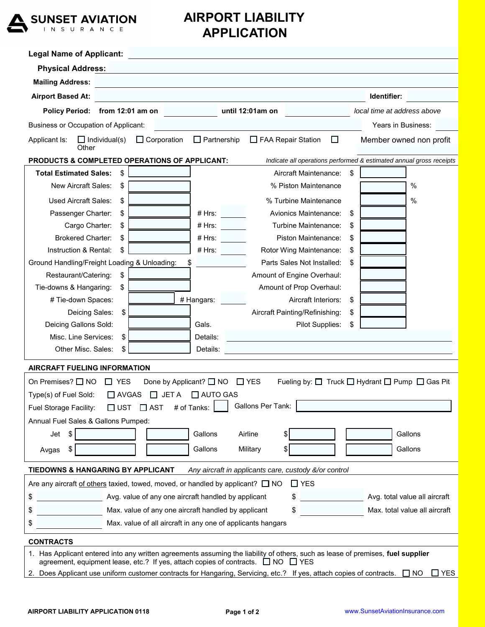

## **AIRPORT LIABILITY APPLICATION**

| <b>Physical Address:</b><br><b>Mailing Address:</b><br><u> 1980 - Johann Stoff, deutscher Stoff, der Stoff, deutscher Stoff, der Stoff, der Stoff, der Stoff, der Stoff</u><br><b>Airport Based At:</b><br>Identifier:<br>Policy Period: from 12:01 am on<br>until 12:01am on<br>local time at address above<br><b>Business or Occupation of Applicant:</b><br>Years in Business:<br>FAA Repair Station<br>$\Box$ Individual(s)<br>$\Box$ Corporation<br>$\Box$ Partnership<br>$\Box$<br>Applicant Is:<br>Member owned non profit<br>Other<br>PRODUCTS & COMPLETED OPERATIONS OF APPLICANT:<br>Indicate all operations performed & estimated annual gross receipts<br><b>Total Estimated Sales:</b><br>\$<br>Aircraft Maintenance:<br>\$<br>New Aircraft Sales:<br>% Piston Maintenance<br>%<br>\$<br>%<br><b>Used Aircraft Sales:</b><br>\$<br>% Turbine Maintenance<br>Passenger Charter:<br>Avionics Maintenance:<br>\$<br>\$<br># Hrs:<br># Hrs:<br>Turbine Maintenance:<br>Cargo Charter:<br>\$<br>\$<br><b>Brokered Charter:</b><br>\$<br># Hrs:<br>Piston Maintenance:<br>\$ | <b>Legal Name of Applicant:</b> |                                       |    |
|-------------------------------------------------------------------------------------------------------------------------------------------------------------------------------------------------------------------------------------------------------------------------------------------------------------------------------------------------------------------------------------------------------------------------------------------------------------------------------------------------------------------------------------------------------------------------------------------------------------------------------------------------------------------------------------------------------------------------------------------------------------------------------------------------------------------------------------------------------------------------------------------------------------------------------------------------------------------------------------------------------------------------------------------------------------------------------------|---------------------------------|---------------------------------------|----|
|                                                                                                                                                                                                                                                                                                                                                                                                                                                                                                                                                                                                                                                                                                                                                                                                                                                                                                                                                                                                                                                                                     |                                 |                                       |    |
|                                                                                                                                                                                                                                                                                                                                                                                                                                                                                                                                                                                                                                                                                                                                                                                                                                                                                                                                                                                                                                                                                     |                                 |                                       |    |
|                                                                                                                                                                                                                                                                                                                                                                                                                                                                                                                                                                                                                                                                                                                                                                                                                                                                                                                                                                                                                                                                                     |                                 |                                       |    |
|                                                                                                                                                                                                                                                                                                                                                                                                                                                                                                                                                                                                                                                                                                                                                                                                                                                                                                                                                                                                                                                                                     |                                 |                                       |    |
|                                                                                                                                                                                                                                                                                                                                                                                                                                                                                                                                                                                                                                                                                                                                                                                                                                                                                                                                                                                                                                                                                     |                                 |                                       |    |
|                                                                                                                                                                                                                                                                                                                                                                                                                                                                                                                                                                                                                                                                                                                                                                                                                                                                                                                                                                                                                                                                                     |                                 |                                       |    |
|                                                                                                                                                                                                                                                                                                                                                                                                                                                                                                                                                                                                                                                                                                                                                                                                                                                                                                                                                                                                                                                                                     |                                 |                                       |    |
|                                                                                                                                                                                                                                                                                                                                                                                                                                                                                                                                                                                                                                                                                                                                                                                                                                                                                                                                                                                                                                                                                     |                                 |                                       |    |
|                                                                                                                                                                                                                                                                                                                                                                                                                                                                                                                                                                                                                                                                                                                                                                                                                                                                                                                                                                                                                                                                                     |                                 |                                       |    |
|                                                                                                                                                                                                                                                                                                                                                                                                                                                                                                                                                                                                                                                                                                                                                                                                                                                                                                                                                                                                                                                                                     |                                 |                                       |    |
|                                                                                                                                                                                                                                                                                                                                                                                                                                                                                                                                                                                                                                                                                                                                                                                                                                                                                                                                                                                                                                                                                     |                                 |                                       |    |
|                                                                                                                                                                                                                                                                                                                                                                                                                                                                                                                                                                                                                                                                                                                                                                                                                                                                                                                                                                                                                                                                                     |                                 |                                       |    |
|                                                                                                                                                                                                                                                                                                                                                                                                                                                                                                                                                                                                                                                                                                                                                                                                                                                                                                                                                                                                                                                                                     |                                 |                                       |    |
| Rotor Wing Maintenance:                                                                                                                                                                                                                                                                                                                                                                                                                                                                                                                                                                                                                                                                                                                                                                                                                                                                                                                                                                                                                                                             | Instruction & Rental:           | \$<br># Hrs: $\overline{\phantom{a}}$ | \$ |
| Ground Handling/Freight Loading & Unloading:<br>Parts Sales Not Installed:<br>\$                                                                                                                                                                                                                                                                                                                                                                                                                                                                                                                                                                                                                                                                                                                                                                                                                                                                                                                                                                                                    |                                 |                                       |    |
| Restaurant/Catering:<br>\$<br>Amount of Engine Overhaul:                                                                                                                                                                                                                                                                                                                                                                                                                                                                                                                                                                                                                                                                                                                                                                                                                                                                                                                                                                                                                            |                                 |                                       |    |
| Tie-downs & Hangaring:<br>\$<br>Amount of Prop Overhaul:                                                                                                                                                                                                                                                                                                                                                                                                                                                                                                                                                                                                                                                                                                                                                                                                                                                                                                                                                                                                                            |                                 |                                       |    |
| # Tie-down Spaces:<br># Hangars:<br>Aircraft Interiors:<br>\$                                                                                                                                                                                                                                                                                                                                                                                                                                                                                                                                                                                                                                                                                                                                                                                                                                                                                                                                                                                                                       |                                 |                                       |    |
| Deicing Sales:<br>\$<br>Aircraft Painting/Refinishing:<br>\$                                                                                                                                                                                                                                                                                                                                                                                                                                                                                                                                                                                                                                                                                                                                                                                                                                                                                                                                                                                                                        |                                 |                                       |    |
| Deicing Gallons Sold:<br>Gals.<br>Pilot Supplies:<br>\$                                                                                                                                                                                                                                                                                                                                                                                                                                                                                                                                                                                                                                                                                                                                                                                                                                                                                                                                                                                                                             |                                 |                                       |    |
| Misc. Line Services:<br>\$<br>Details:                                                                                                                                                                                                                                                                                                                                                                                                                                                                                                                                                                                                                                                                                                                                                                                                                                                                                                                                                                                                                                              |                                 |                                       |    |
| Other Misc. Sales:<br>Details:<br>\$                                                                                                                                                                                                                                                                                                                                                                                                                                                                                                                                                                                                                                                                                                                                                                                                                                                                                                                                                                                                                                                |                                 |                                       |    |
| <b>AIRCRAFT FUELING INFORMATION</b>                                                                                                                                                                                                                                                                                                                                                                                                                                                                                                                                                                                                                                                                                                                                                                                                                                                                                                                                                                                                                                                 |                                 |                                       |    |
| On Premises? $\Box$ NO<br>$\Box$ YES<br>Done by Applicant? □ NO<br>Fueling by: $\Box$ Truck $\Box$ Hydrant $\Box$ Pump $\Box$ Gas Pit<br>$\Box$ YES                                                                                                                                                                                                                                                                                                                                                                                                                                                                                                                                                                                                                                                                                                                                                                                                                                                                                                                                 |                                 |                                       |    |
| Type(s) of Fuel Sold: □ AVGAS □ JET A □ AUTO GAS                                                                                                                                                                                                                                                                                                                                                                                                                                                                                                                                                                                                                                                                                                                                                                                                                                                                                                                                                                                                                                    |                                 |                                       |    |
| <b>Gallons Per Tank:</b><br>$\square$ UST<br>$\square$ AST<br># of Tanks:<br>Fuel Storage Facility:                                                                                                                                                                                                                                                                                                                                                                                                                                                                                                                                                                                                                                                                                                                                                                                                                                                                                                                                                                                 |                                 |                                       |    |
| Annual Fuel Sales & Gallons Pumped:                                                                                                                                                                                                                                                                                                                                                                                                                                                                                                                                                                                                                                                                                                                                                                                                                                                                                                                                                                                                                                                 |                                 |                                       |    |
| Gallons<br>Gallons<br>Airline<br>Jet<br>\$                                                                                                                                                                                                                                                                                                                                                                                                                                                                                                                                                                                                                                                                                                                                                                                                                                                                                                                                                                                                                                          |                                 |                                       |    |
|                                                                                                                                                                                                                                                                                                                                                                                                                                                                                                                                                                                                                                                                                                                                                                                                                                                                                                                                                                                                                                                                                     |                                 |                                       |    |
| Gallons<br>Gallons<br>Military<br>\$<br>Avgas                                                                                                                                                                                                                                                                                                                                                                                                                                                                                                                                                                                                                                                                                                                                                                                                                                                                                                                                                                                                                                       |                                 |                                       |    |
| <b>TIEDOWNS &amp; HANGARING BY APPLICANT</b><br>Any aircraft in applicants care, custody &/or control                                                                                                                                                                                                                                                                                                                                                                                                                                                                                                                                                                                                                                                                                                                                                                                                                                                                                                                                                                               |                                 |                                       |    |
| $\Box$ YES<br>Are any aircraft of others taxied, towed, moved, or handled by applicant? $\Box$ NO                                                                                                                                                                                                                                                                                                                                                                                                                                                                                                                                                                                                                                                                                                                                                                                                                                                                                                                                                                                   |                                 |                                       |    |
| Avg. value of any one aircraft handled by applicant<br>\$<br>\$<br>Avg. total value all aircraft                                                                                                                                                                                                                                                                                                                                                                                                                                                                                                                                                                                                                                                                                                                                                                                                                                                                                                                                                                                    |                                 |                                       |    |
| Max. value of any one aircraft handled by applicant<br>\$<br>\$<br>Max. total value all aircraft                                                                                                                                                                                                                                                                                                                                                                                                                                                                                                                                                                                                                                                                                                                                                                                                                                                                                                                                                                                    |                                 |                                       |    |
| Max. value of all aircraft in any one of applicants hangars                                                                                                                                                                                                                                                                                                                                                                                                                                                                                                                                                                                                                                                                                                                                                                                                                                                                                                                                                                                                                         |                                 |                                       |    |
| <b>CONTRACTS</b>                                                                                                                                                                                                                                                                                                                                                                                                                                                                                                                                                                                                                                                                                                                                                                                                                                                                                                                                                                                                                                                                    |                                 |                                       |    |
| 1. Has Applicant entered into any written agreements assuming the liability of others, such as lease of premises, fuel supplier                                                                                                                                                                                                                                                                                                                                                                                                                                                                                                                                                                                                                                                                                                                                                                                                                                                                                                                                                     |                                 |                                       |    |
| agreement, equipment lease, etc.? If yes, attach copies of contracts. $\Box$ NO $\Box$ YES<br>2. Does Applicant use uniform customer contracts for Hangaring, Servicing, etc.? If yes, attach copies of contracts. □ NO<br>$\square$ YES                                                                                                                                                                                                                                                                                                                                                                                                                                                                                                                                                                                                                                                                                                                                                                                                                                            |                                 |                                       |    |